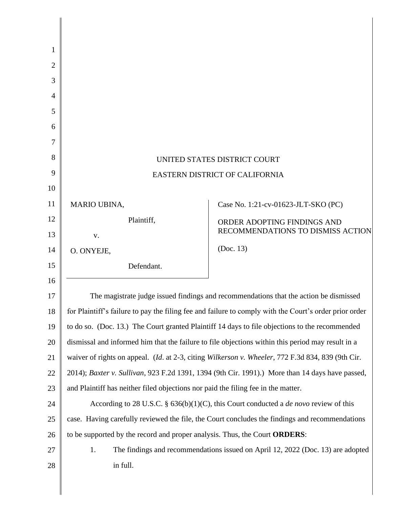| 1  |                                                                                                        |                                     |  |  |  |
|----|--------------------------------------------------------------------------------------------------------|-------------------------------------|--|--|--|
| 2  |                                                                                                        |                                     |  |  |  |
| 3  |                                                                                                        |                                     |  |  |  |
| 4  |                                                                                                        |                                     |  |  |  |
| 5  |                                                                                                        |                                     |  |  |  |
| 6  |                                                                                                        |                                     |  |  |  |
| 7  |                                                                                                        |                                     |  |  |  |
| 8  | UNITED STATES DISTRICT COURT                                                                           |                                     |  |  |  |
| 9  | EASTERN DISTRICT OF CALIFORNIA                                                                         |                                     |  |  |  |
| 10 |                                                                                                        |                                     |  |  |  |
| 11 | MARIO UBINA,                                                                                           | Case No. 1:21-cv-01623-JLT-SKO (PC) |  |  |  |
| 12 | Plaintiff,                                                                                             | ORDER ADOPTING FINDINGS AND         |  |  |  |
| 13 | V.                                                                                                     | RECOMMENDATIONS TO DISMISS ACTION   |  |  |  |
| 14 | O. ONYEJE,                                                                                             | (Doc. 13)                           |  |  |  |
| 15 | Defendant.                                                                                             |                                     |  |  |  |
| 16 |                                                                                                        |                                     |  |  |  |
| 17 | The magistrate judge issued findings and recommendations that the action be dismissed                  |                                     |  |  |  |
| 18 | for Plaintiff's failure to pay the filing fee and failure to comply with the Court's order prior order |                                     |  |  |  |
| 19 | to do so. (Doc. 13.) The Court granted Plaintiff 14 days to file objections to the recommended         |                                     |  |  |  |
| 20 | dismissal and informed him that the failure to file objections within this period may result in a      |                                     |  |  |  |
| 21 | waiver of rights on appeal. (Id. at 2-3, citing Wilkerson v. Wheeler, 772 F.3d 834, 839 (9th Cir.      |                                     |  |  |  |
| 22 | 2014); Baxter v. Sullivan, 923 F.2d 1391, 1394 (9th Cir. 1991).) More than 14 days have passed,        |                                     |  |  |  |
| 23 | and Plaintiff has neither filed objections nor paid the filing fee in the matter.                      |                                     |  |  |  |
| 24 | According to 28 U.S.C. § $636(b)(1)(C)$ , this Court conducted a <i>de novo</i> review of this         |                                     |  |  |  |
| 25 | case. Having carefully reviewed the file, the Court concludes the findings and recommendations         |                                     |  |  |  |
| 26 | to be supported by the record and proper analysis. Thus, the Court ORDERS:                             |                                     |  |  |  |
| 27 | The findings and recommendations issued on April 12, 2022 (Doc. 13) are adopted<br>1.                  |                                     |  |  |  |
| 28 | in full.                                                                                               |                                     |  |  |  |